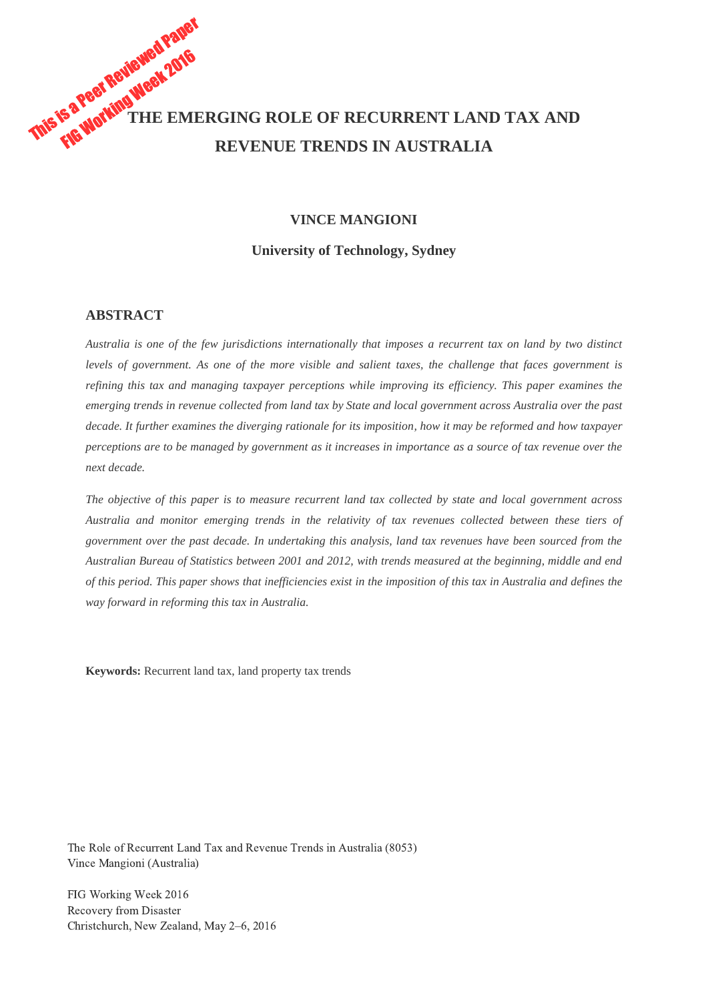# This is a Peer Reviewed Paper<br>This is a Peer Reviewed Paper **THE EMERGING ROLE OF RECURRENT LAND TAX AND REVENUE TRENDS IN AUSTRALIA**

# **VINCE MANGIONI**

**University of Technology, Sydney**

# **ABSTRACT**

*Australia is one of the few jurisdictions internationally that imposes a recurrent tax on land by two distinct levels of government. As one of the more visible and salient taxes, the challenge that faces government is refining this tax and managing taxpayer perceptions while improving its efficiency. This paper examines the emerging trends in revenue collected from land tax by State and local government across Australia over the past decade. It further examines the diverging rationale for its imposition, how it may be reformed and how taxpayer perceptions are to be managed by government as it increases in importance as a source of tax revenue over the next decade.*

*The objective of this paper is to measure recurrent land tax collected by state and local government across Australia and monitor emerging trends in the relativity of tax revenues collected between these tiers of government over the past decade. In undertaking this analysis, land tax revenues have been sourced from the Australian Bureau of Statistics between 2001 and 2012, with trends measured at the beginning, middle and end of this period. This paper shows that inefficiencies exist in the imposition of this tax in Australia and defines the way forward in reforming this tax in Australia.*

**Keywords:** Recurrent land tax, land property tax trends

The Role of Recurrent Land Tax and Revenue Trends in Australia (8053) Vince Mangioni (Australia)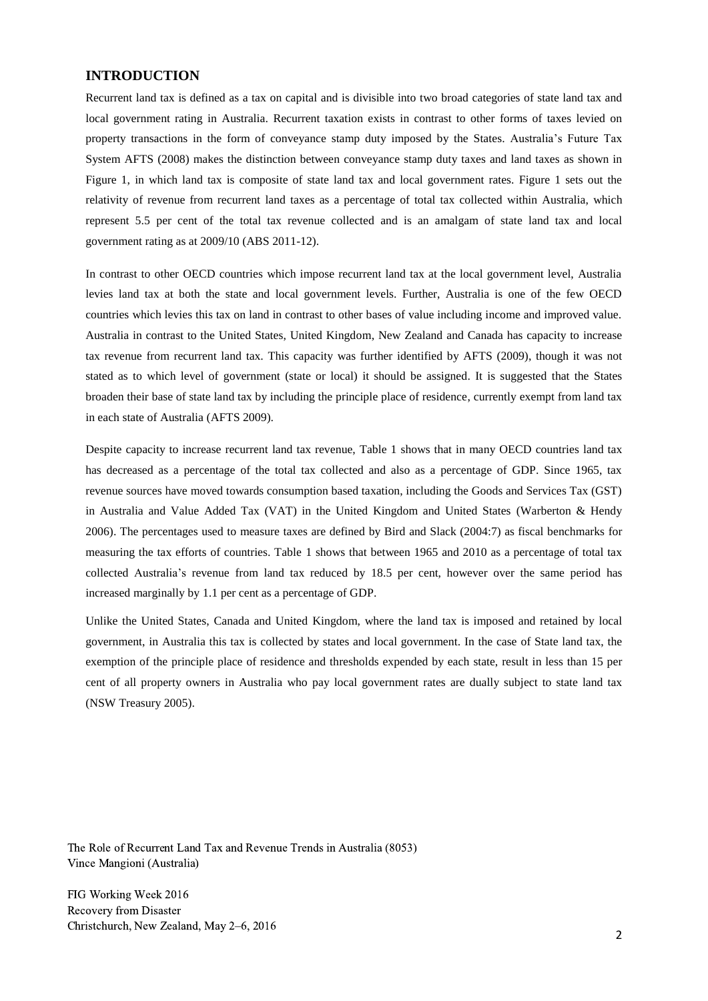# **INTRODUCTION**

Recurrent land tax is defined as a tax on capital and is divisible into two broad categories of state land tax and local government rating in Australia. Recurrent taxation exists in contrast to other forms of taxes levied on property transactions in the form of conveyance stamp duty imposed by the States. Australia's Future Tax System AFTS (2008) makes the distinction between conveyance stamp duty taxes and land taxes as shown in Figure 1, in which land tax is composite of state land tax and local government rates. Figure 1 sets out the relativity of revenue from recurrent land taxes as a percentage of total tax collected within Australia, which represent 5.5 per cent of the total tax revenue collected and is an amalgam of state land tax and local government rating as at 2009/10 (ABS 2011-12).

In contrast to other OECD countries which impose recurrent land tax at the local government level, Australia levies land tax at both the state and local government levels. Further, Australia is one of the few OECD countries which levies this tax on land in contrast to other bases of value including income and improved value. Australia in contrast to the United States, United Kingdom, New Zealand and Canada has capacity to increase tax revenue from recurrent land tax. This capacity was further identified by AFTS (2009), though it was not stated as to which level of government (state or local) it should be assigned. It is suggested that the States broaden their base of state land tax by including the principle place of residence, currently exempt from land tax in each state of Australia (AFTS 2009).

Despite capacity to increase recurrent land tax revenue, Table 1 shows that in many OECD countries land tax has decreased as a percentage of the total tax collected and also as a percentage of GDP. Since 1965, tax revenue sources have moved towards consumption based taxation, including the Goods and Services Tax (GST) in Australia and Value Added Tax (VAT) in the United Kingdom and United States (Warberton & Hendy 2006). The percentages used to measure taxes are defined by Bird and Slack (2004:7) as fiscal benchmarks for measuring the tax efforts of countries. Table 1 shows that between 1965 and 2010 as a percentage of total tax collected Australia's revenue from land tax reduced by 18.5 per cent, however over the same period has increased marginally by 1.1 per cent as a percentage of GDP.

Unlike the United States, Canada and United Kingdom, where the land tax is imposed and retained by local government, in Australia this tax is collected by states and local government. In the case of State land tax, the exemption of the principle place of residence and thresholds expended by each state, result in less than 15 per cent of all property owners in Australia who pay local government rates are dually subject to state land tax (NSW Treasury 2005).

The Role of Recurrent Land Tax and Revenue Trends in Australia (8053) Vince Mangioni (Australia)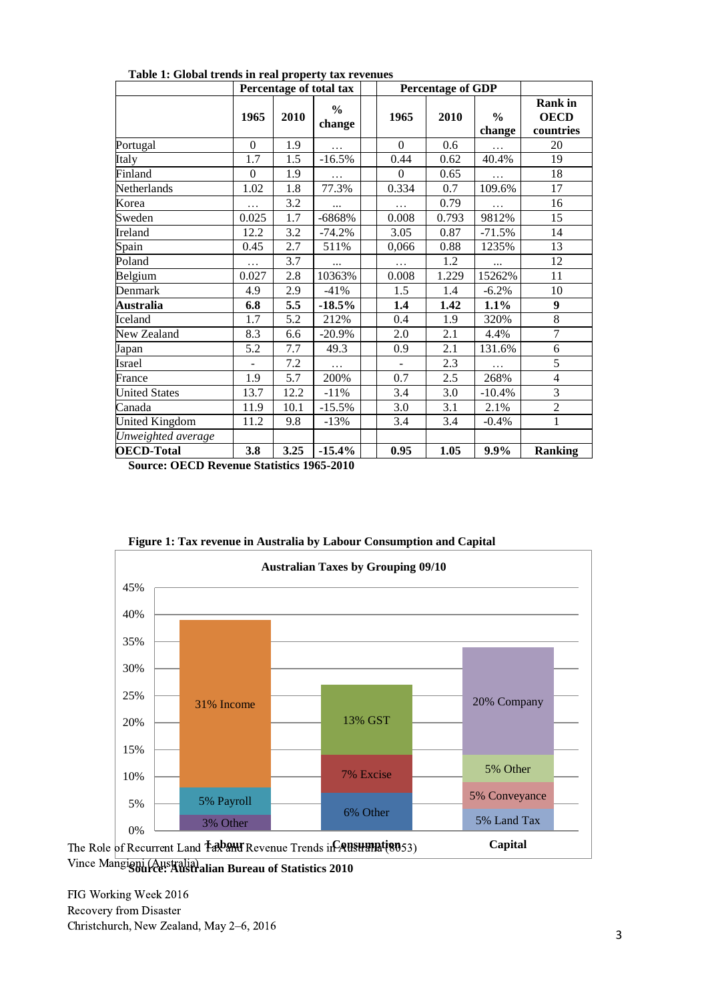|                       | Percentage of total tax |      |                         | <b>Percentage of GDP</b> |       |                         |                                            |
|-----------------------|-------------------------|------|-------------------------|--------------------------|-------|-------------------------|--------------------------------------------|
|                       | 1965                    | 2010 | $\frac{0}{0}$<br>change | 1965                     | 2010  | $\frac{0}{0}$<br>change | <b>Rank</b> in<br><b>OECD</b><br>countries |
| Portugal              | $\Omega$                | 1.9  | $\ldots$                | $\mathbf{0}$             | 0.6   | .                       | 20                                         |
| Italy                 | 1.7                     | 1.5  | $-16.5%$                | 0.44                     | 0.62  | 40.4%                   | 19                                         |
| Finland               | $\theta$                | 1.9  |                         | $\Omega$                 | 0.65  |                         | 18                                         |
| Netherlands           | 1.02                    | 1.8  | 77.3%                   | 0.334                    | 0.7   | 109.6%                  | 17                                         |
| Korea                 | .                       | 3.2  | $\ddots$                | .                        | 0.79  |                         | 16                                         |
| Sweden                | 0.025                   | 1.7  | -6868%                  | 0.008                    | 0.793 | 9812%                   | 15                                         |
| Ireland               | 12.2                    | 3.2  | $-74.2%$                | 3.05                     | 0.87  | $-71.5%$                | 14                                         |
| Spain                 | 0.45                    | 2.7  | 511%                    | 0,066                    | 0.88  | 1235%                   | 13                                         |
| Poland                | .                       | 3.7  |                         | $\cdots$                 | 1.2   | $\cdots$                | 12                                         |
| Belgium               | 0.027                   | 2.8  | 10363%                  | 0.008                    | 1.229 | 15262%                  | 11                                         |
| Denmark               | 4.9                     | 2.9  | $-41%$                  | 1.5                      | 1.4   | $-6.2%$                 | 10                                         |
| <b>Australia</b>      | 6.8                     | 5.5  | $-18.5%$                | 1.4                      | 1.42  | 1.1%                    | 9                                          |
| Iceland               | 1.7                     | 5.2  | 212%                    | 0.4                      | 1.9   | 320%                    | $8\,$                                      |
| New Zealand           | 8.3                     | 6.6  | $-20.9\%$               | 2.0                      | 2.1   | 4.4%                    | $\overline{7}$                             |
| Japan                 | 5.2                     | 7.7  | 49.3                    | 0.9                      | 2.1   | 131.6%                  | 6                                          |
| Israel                |                         | 7.2  | .                       | $\blacksquare$           | 2.3   | $\cdots$                | 5                                          |
| France                | 1.9                     | 5.7  | 200%                    | 0.7                      | 2.5   | 268%                    | $\overline{4}$                             |
| <b>United States</b>  | 13.7                    | 12.2 | $-11%$                  | 3.4                      | 3.0   | $-10.4%$                | 3                                          |
| Canada                | 11.9                    | 10.1 | $-15.5%$                | 3.0                      | 3.1   | 2.1%                    | $\overline{2}$                             |
| <b>United Kingdom</b> | 11.2                    | 9.8  | $-13%$                  | 3.4                      | 3.4   | $-0.4%$                 | $\mathbf{1}$                               |
| Unweighted average    |                         |      |                         |                          |       |                         |                                            |
| <b>OECD-Total</b>     | 3.8                     | 3.25 | $-15.4%$                | 0.95                     | 1.05  | 9.9%                    | <b>Ranking</b>                             |

**Table 1: Global trends in real property tax revenues**

**Source: OECD Revenue Statistics 1965-2010**



**Figure 1: Tax revenue in Australia by Labour Consumption and Capital**

Vince Mangioni (Australia) alian Bureau of Statistics 2010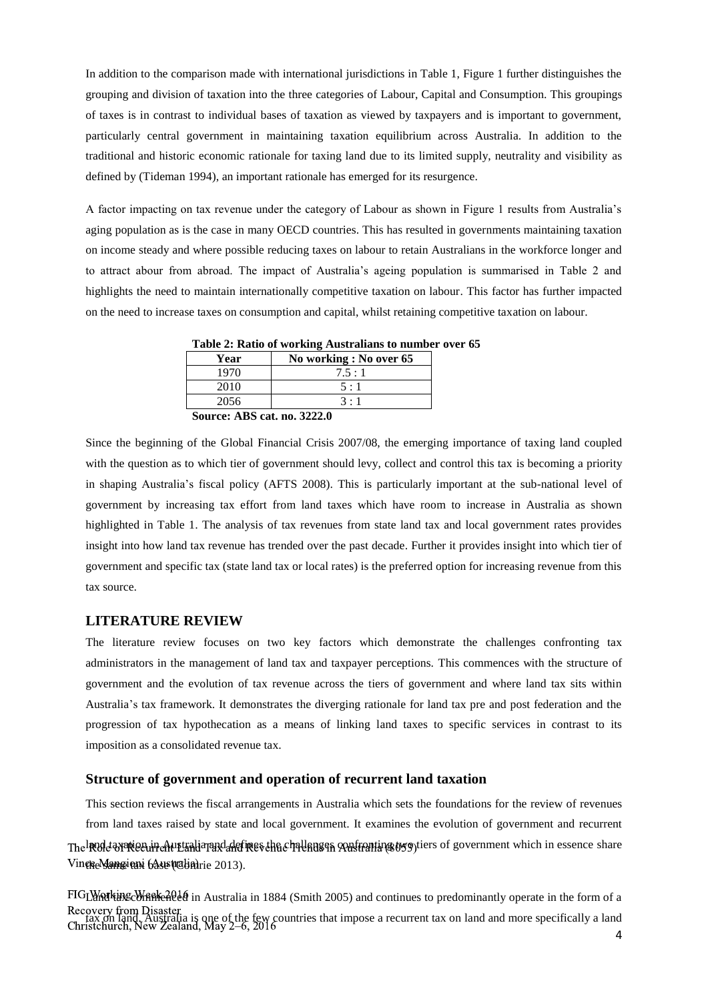In addition to the comparison made with international jurisdictions in Table 1, Figure 1 further distinguishes the grouping and division of taxation into the three categories of Labour, Capital and Consumption. This groupings of taxes is in contrast to individual bases of taxation as viewed by taxpayers and is important to government, particularly central government in maintaining taxation equilibrium across Australia. In addition to the traditional and historic economic rationale for taxing land due to its limited supply, neutrality and visibility as defined by (Tideman 1994), an important rationale has emerged for its resurgence.

A factor impacting on tax revenue under the category of Labour as shown in Figure 1 results from Australia's aging population as is the case in many OECD countries. This has resulted in governments maintaining taxation on income steady and where possible reducing taxes on labour to retain Australians in the workforce longer and to attract abour from abroad. The impact of Australia's ageing population is summarised in Table 2 and highlights the need to maintain internationally competitive taxation on labour. This factor has further impacted on the need to increase taxes on consumption and capital, whilst retaining competitive taxation on labour.

| Year                               | No working: No over 65 |  |  |  |  |  |
|------------------------------------|------------------------|--|--|--|--|--|
| 1970                               | 7.5:1                  |  |  |  |  |  |
| 2010                               | $5 \cdot 1$            |  |  |  |  |  |
| 2056                               | $3 \cdot 1$            |  |  |  |  |  |
| <b>Source: ABS cat. no. 3222.0</b> |                        |  |  |  |  |  |

 **Table 2: Ratio of working Australians to number over 65**

Since the beginning of the Global Financial Crisis 2007/08, the emerging importance of taxing land coupled with the question as to which tier of government should levy, collect and control this tax is becoming a priority in shaping Australia's fiscal policy (AFTS 2008). This is particularly important at the sub-national level of government by increasing tax effort from land taxes which have room to increase in Australia as shown highlighted in Table 1. The analysis of tax revenues from state land tax and local government rates provides insight into how land tax revenue has trended over the past decade. Further it provides insight into which tier of government and specific tax (state land tax or local rates) is the preferred option for increasing revenue from this tax source.

### **LITERATURE REVIEW**

The literature review focuses on two key factors which demonstrate the challenges confronting tax administrators in the management of land tax and taxpayer perceptions. This commences with the structure of government and the evolution of tax revenue across the tiers of government and where land tax sits within Australia's tax framework. It demonstrates the diverging rationale for land tax pre and post federation and the progression of tax hypothecation as a means of linking land taxes to specific services in contrast to its imposition as a consolidated revenue tax.

#### **Structure of government and operation of recurrent land taxation**

This section reviews the fiscal arrangements in Australia which sets the foundations for the review of revenues from land taxes raised by state and local government. It examines the evolution of government and recurrent The Rold taxation in Australia and defines the chall nust confronting two tiers of government which in essence share Vin**ce Mangioni base (Com**rie 2013).

FIGLWARKIRE WERK Alle in Australia in 1884 (Smith 2005) and continues to predominantly operate in the form of a Recovery from Disaster<br><sub>cu</sub> tax on land. Australia is one of the few countries that impose a recurrent tax on land and more specifically a land Christchurch, New Zealand, May 2–6, 2016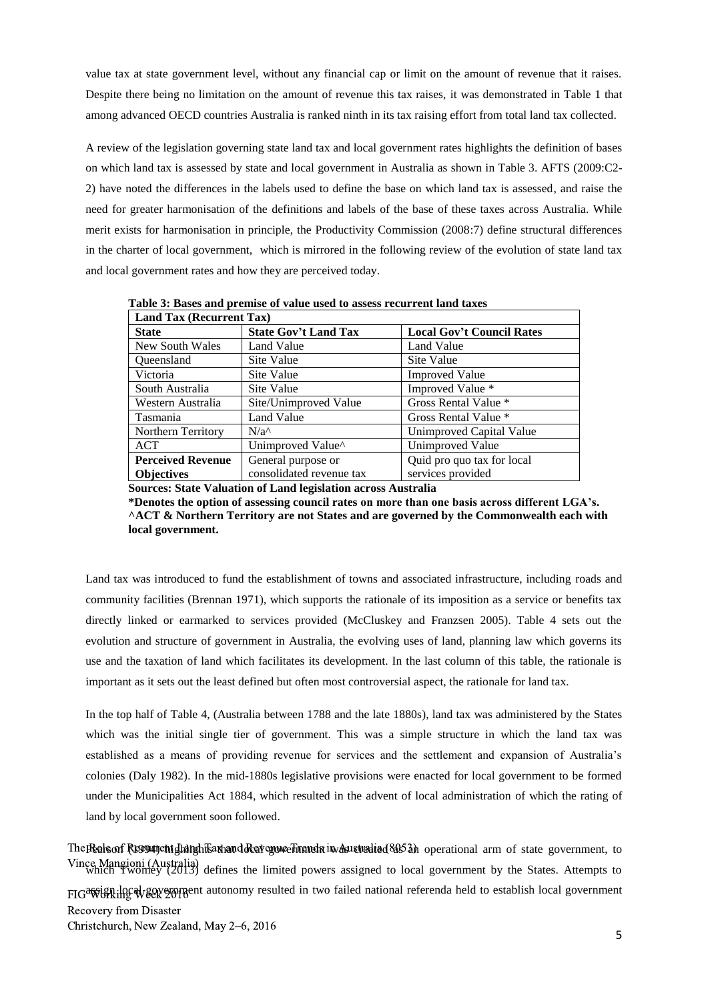value tax at state government level, without any financial cap or limit on the amount of revenue that it raises. Despite there being no limitation on the amount of revenue this tax raises, it was demonstrated in Table 1 that among advanced OECD countries Australia is ranked ninth in its tax raising effort from total land tax collected.

A review of the legislation governing state land tax and local government rates highlights the definition of bases on which land tax is assessed by state and local government in Australia as shown in Table 3. AFTS (2009:C2- 2) have noted the differences in the labels used to define the base on which land tax is assessed, and raise the need for greater harmonisation of the definitions and labels of the base of these taxes across Australia. While merit exists for harmonisation in principle, the Productivity Commission (2008:7) define structural differences in the charter of local government, which is mirrored in the following review of the evolution of state land tax and local government rates and how they are perceived today.

| <b>Land Tax (Recurrent Tax)</b> |                                                 |                                  |  |  |  |  |  |  |  |
|---------------------------------|-------------------------------------------------|----------------------------------|--|--|--|--|--|--|--|
| <b>State</b>                    | <b>State Gov't Land Tax</b>                     | <b>Local Gov't Council Rates</b> |  |  |  |  |  |  |  |
| New South Wales                 | Land Value                                      | Land Value                       |  |  |  |  |  |  |  |
| <b>Oueensland</b>               | Site Value                                      | Site Value                       |  |  |  |  |  |  |  |
| Victoria                        | Site Value                                      | <b>Improved Value</b>            |  |  |  |  |  |  |  |
| South Australia                 | Site Value                                      | Improved Value *                 |  |  |  |  |  |  |  |
| Western Australia               | Site/Unimproved Value                           | Gross Rental Value *             |  |  |  |  |  |  |  |
| <b>Tasmania</b>                 | Land Value                                      | Gross Rental Value *             |  |  |  |  |  |  |  |
| Northern Territory              | $N/a^{\Lambda}$                                 | Unimproved Capital Value         |  |  |  |  |  |  |  |
| ACT                             | Unimproved Value <sup><math>\wedge</math></sup> | Unimproved Value                 |  |  |  |  |  |  |  |
| <b>Perceived Revenue</b>        | General purpose or                              | Quid pro quo tax for local       |  |  |  |  |  |  |  |
| <b>Objectives</b>               | consolidated revenue tax                        | services provided                |  |  |  |  |  |  |  |

**Table 3: Bases and premise of value used to assess recurrent land taxes**

**Sources: State Valuation of Land legislation across Australia** 

**\*Denotes the option of assessing council rates on more than one basis across different LGA's. ^ACT & Northern Territory are not States and are governed by the Commonwealth each with** 

**local government.**

Land tax was introduced to fund the establishment of towns and associated infrastructure, including roads and community facilities (Brennan 1971), which supports the rationale of its imposition as a service or benefits tax directly linked or earmarked to services provided (McCluskey and Franzsen 2005). Table 4 sets out the evolution and structure of government in Australia, the evolving uses of land, planning law which governs its use and the taxation of land which facilitates its development. In the last column of this table, the rationale is important as it sets out the least defined but often most controversial aspect, the rationale for land tax.

In the top half of Table 4, (Australia between 1788 and the late 1880s), land tax was administered by the States which was the initial single tier of government. This was a simple structure in which the land tax was established as a means of providing revenue for services and the settlement and expansion of Australia's colonies (Daly 1982). In the mid-1880s legislative provisions were enacted for local government to be formed under the Municipalities Act 1884, which resulted in the advent of local administration of which the rating of land by local government soon followed.

The Rels of Recort entektated that a mand Revernment in the state date of the Sand operational arm of state government, to Vince Mangioni (Australia)<br>which Twomey (2013) defines the limited powers assigned to local government by the States. Attempts to

FIG<sup>ar</sup>wigh local government autonomy resulted in two failed national referenda held to establish local government Recovery from Disaster Christchurch, New Zealand, May 2–6, 2016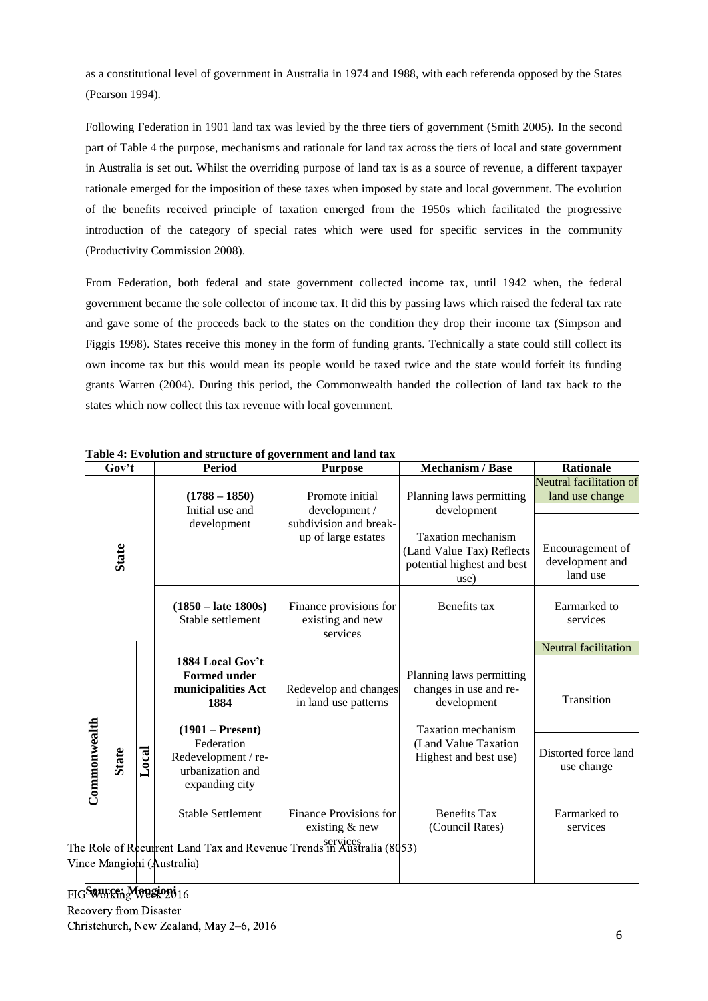as a constitutional level of government in Australia in 1974 and 1988, with each referenda opposed by the States (Pearson 1994).

Following Federation in 1901 land tax was levied by the three tiers of government (Smith 2005). In the second part of Table 4 the purpose, mechanisms and rationale for land tax across the tiers of local and state government in Australia is set out. Whilst the overriding purpose of land tax is as a source of revenue, a different taxpayer rationale emerged for the imposition of these taxes when imposed by state and local government. The evolution of the benefits received principle of taxation emerged from the 1950s which facilitated the progressive introduction of the category of special rates which were used for specific services in the community (Productivity Commission 2008).

From Federation, both federal and state government collected income tax, until 1942 when, the federal government became the sole collector of income tax. It did this by passing laws which raised the federal tax rate and gave some of the proceeds back to the states on the condition they drop their income tax (Simpson and Figgis 1998). States receive this money in the form of funding grants. Technically a state could still collect its own income tax but this would mean its people would be taxed twice and the state would forfeit its funding grants Warren (2004). During this period, the Commonwealth handed the collection of land tax back to the states which now collect this tax revenue with local government.

|              | Gov't        |              | <b>Period</b>                                     | <b>Purpose</b>                                                                                      | <b>Mechanism / Base</b>                                                                                                                 | <b>Rationale</b>                                                                               |                                    |  |
|--------------|--------------|--------------|---------------------------------------------------|-----------------------------------------------------------------------------------------------------|-----------------------------------------------------------------------------------------------------------------------------------------|------------------------------------------------------------------------------------------------|------------------------------------|--|
| <b>State</b> |              |              | $(1788 - 1850)$<br>Initial use and<br>development | Promote initial<br>development /<br>subdivision and break-<br>up of large estates                   | Planning laws permitting<br>development<br><b>Taxation mechanism</b><br>(Land Value Tax) Reflects<br>potential highest and best<br>use) | Neutral facilitation of<br>land use change<br>Encouragement of<br>development and<br>land use  |                                    |  |
|              |              |              |                                                   | $(1850 - \text{late } 1800s)$<br>Stable settlement                                                  | Finance provisions for<br>existing and new<br>services                                                                                  | Benefits tax                                                                                   | Earmarked to<br>services           |  |
|              |              |              |                                                   |                                                                                                     |                                                                                                                                         |                                                                                                | Neutral facilitation               |  |
|              |              |              |                                                   | 1884 Local Gov't<br><b>Formed under</b><br>municipalities Act<br>1884<br>$(1901 - Present)$         | Redevelop and changes<br>in land use patterns                                                                                           | Planning laws permitting<br>changes in use and re-<br>development<br><b>Taxation</b> mechanism | Transition                         |  |
|              | Commonwealth | <b>State</b> | Local                                             | Federation<br>Redevelopment / re-<br>urbanization and<br>expanding city                             |                                                                                                                                         | (Land Value Taxation<br>Highest and best use)                                                  | Distorted force land<br>use change |  |
|              |              |              |                                                   | <b>Stable Settlement</b>                                                                            | Finance Provisions for<br>existing $&$ new                                                                                              | <b>Benefits Tax</b><br>(Council Rates)                                                         | Earmarked to<br>services           |  |
|              |              |              |                                                   | The Role of Recurrent Land Tax and Revenue Trends in Australia (8053)<br>Vince Mangioni (Australia) |                                                                                                                                         |                                                                                                |                                    |  |

**Table 4: Evolution and structure of government and land tax**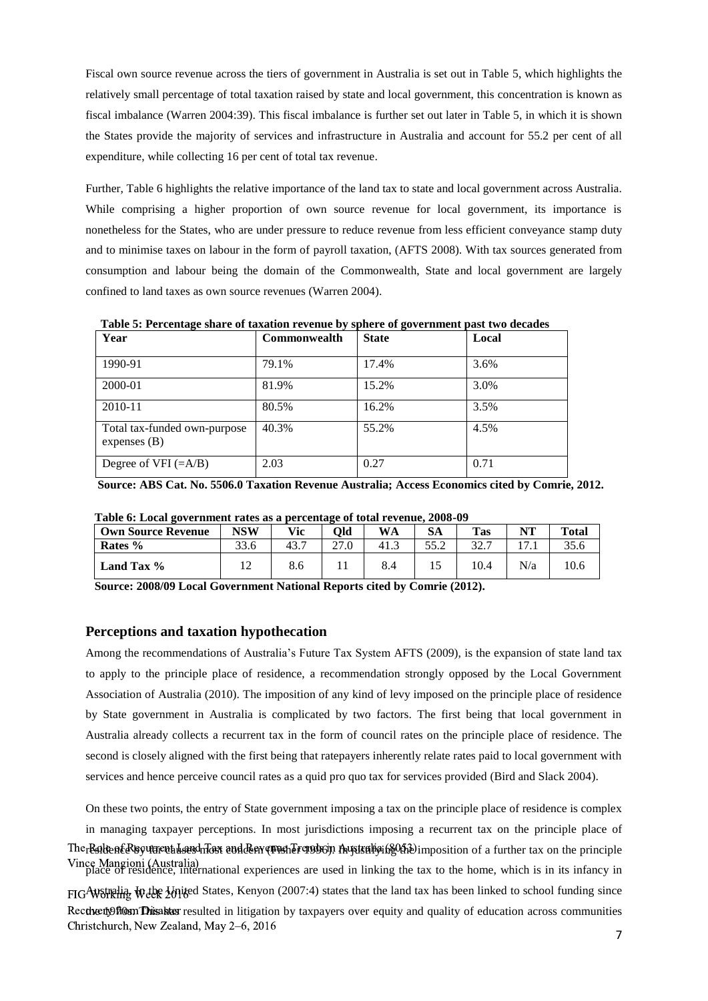Fiscal own source revenue across the tiers of government in Australia is set out in Table 5, which highlights the relatively small percentage of total taxation raised by state and local government, this concentration is known as fiscal imbalance (Warren 2004:39). This fiscal imbalance is further set out later in Table 5, in which it is shown the States provide the majority of services and infrastructure in Australia and account for 55.2 per cent of all expenditure, while collecting 16 per cent of total tax revenue.

Further, Table 6 highlights the relative importance of the land tax to state and local government across Australia. While comprising a higher proportion of own source revenue for local government, its importance is nonetheless for the States, who are under pressure to reduce revenue from less efficient conveyance stamp duty and to minimise taxes on labour in the form of payroll taxation, (AFTS 2008). With tax sources generated from consumption and labour being the domain of the Commonwealth, State and local government are largely confined to land taxes as own source revenues (Warren 2004).

 **Table 5: Percentage share of taxation revenue by sphere of government past two decades**

| Year                                           | <b>Commonwealth</b> | <b>State</b> | Local |
|------------------------------------------------|---------------------|--------------|-------|
| 1990-91                                        | 79.1%               | 17.4%        | 3.6%  |
| 2000-01                                        | 81.9%               | 15.2%        | 3.0%  |
| 2010-11                                        | 80.5%               | 16.2%        | 3.5%  |
| Total tax-funded own-purpose<br>expenses $(B)$ | 40.3%               | 55.2%        | 4.5%  |
| Degree of $VFI$ (=A/B)                         | 2.03                | 0.27         | 0.71  |

 **Source: ABS Cat. No. 5506.0 Taxation Revenue Australia; Access Economics cited by Comrie, 2012.**

|  | Table 6: Local government rates as a percentage of total revenue, 2008-09 |  |  |
|--|---------------------------------------------------------------------------|--|--|
|--|---------------------------------------------------------------------------|--|--|

| <b>Own Source Revenue</b> | NSW  | Vic  | Old  | <b>WA</b> | <b>SA</b> | <b>Tas</b>    | NT  | <b>Total</b> |
|---------------------------|------|------|------|-----------|-----------|---------------|-----|--------------|
| Rates %                   | 33.6 | 43.7 | 27.0 | 41.3      | ے . ر     | 227<br>ا وڪ پ | —   | 35.6         |
| Land Tax $\%$             | . .  | 8.6  |      | 8.4       |           | 10.4          | N/a | 10.6         |

 **Source: 2008/09 Local Government National Reports cited by Comrie (2012).**

# **Perceptions and taxation hypothecation**

Among the recommendations of Australia's Future Tax System AFTS (2009), is the expansion of state land tax to apply to the principle place of residence, a recommendation strongly opposed by the Local Government Association of Australia (2010). The imposition of any kind of levy imposed on the principle place of residence by State government in Australia is complicated by two factors. The first being that local government in Australia already collects a recurrent tax in the form of council rates on the principle place of residence. The second is closely aligned with the first being that ratepayers inherently relate rates paid to local government with services and hence perceive council rates as a quid pro quo tax for services provided (Bird and Slack 2004).

On these two points, the entry of State government imposing a tax on the principle place of residence is complex in managing taxpayer perceptions. In most jurisdictions imposing a recurrent tax on the principle place of The Rolle né Roy ture na Less ch Tox and Revers at a fuglish most the ingles of the imposition of a further tax on the principle Vince Mangioni (Australia)<br>
place of residence, international experiences are used in linking the tax to the home, which is in its infancy in FIGAWStraling Webe United States, Kenyon (2007:4) states that the land tax has been linked to school funding since

Recthe the 10 m Disables resulted in litigation by taxpayers over equity and quality of education across communities Christchurch, New Zealand, May 2–6, 2016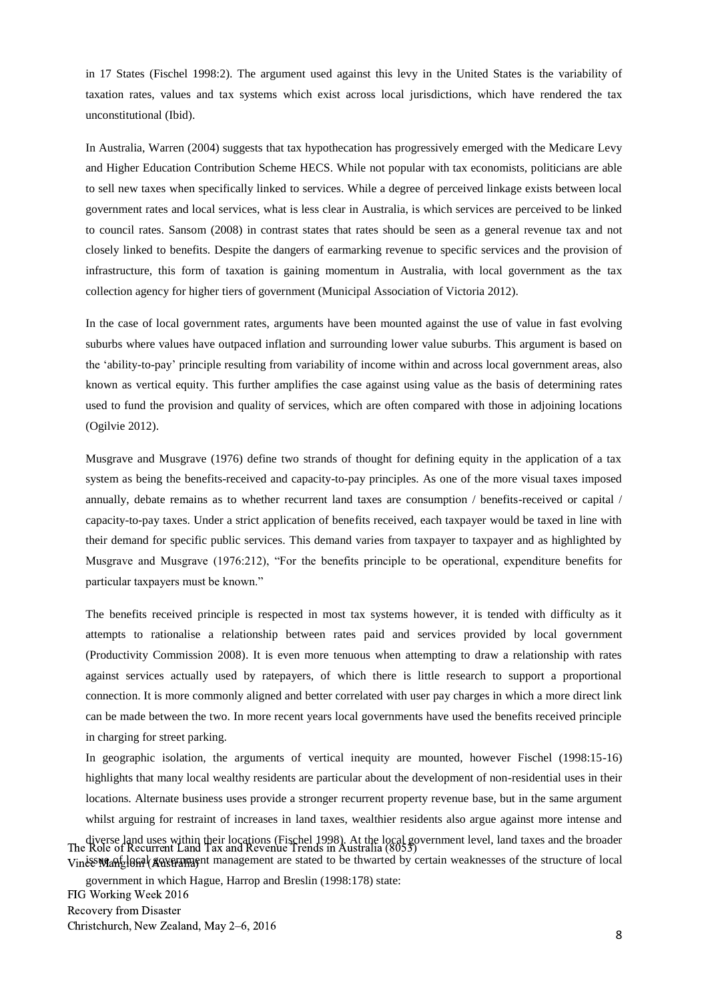in 17 States (Fischel 1998:2). The argument used against this levy in the United States is the variability of taxation rates, values and tax systems which exist across local jurisdictions, which have rendered the tax unconstitutional (Ibid).

In Australia, Warren (2004) suggests that tax hypothecation has progressively emerged with the Medicare Levy and Higher Education Contribution Scheme HECS. While not popular with tax economists, politicians are able to sell new taxes when specifically linked to services. While a degree of perceived linkage exists between local government rates and local services, what is less clear in Australia, is which services are perceived to be linked to council rates. Sansom (2008) in contrast states that rates should be seen as a general revenue tax and not closely linked to benefits. Despite the dangers of earmarking revenue to specific services and the provision of infrastructure, this form of taxation is gaining momentum in Australia, with local government as the tax collection agency for higher tiers of government (Municipal Association of Victoria 2012).

In the case of local government rates, arguments have been mounted against the use of value in fast evolving suburbs where values have outpaced inflation and surrounding lower value suburbs. This argument is based on the 'ability-to-pay' principle resulting from variability of income within and across local government areas, also known as vertical equity. This further amplifies the case against using value as the basis of determining rates used to fund the provision and quality of services, which are often compared with those in adjoining locations (Ogilvie 2012).

Musgrave and Musgrave (1976) define two strands of thought for defining equity in the application of a tax system as being the benefits-received and capacity-to-pay principles. As one of the more visual taxes imposed annually, debate remains as to whether recurrent land taxes are consumption / benefits-received or capital / capacity-to-pay taxes. Under a strict application of benefits received, each taxpayer would be taxed in line with their demand for specific public services. This demand varies from taxpayer to taxpayer and as highlighted by Musgrave and Musgrave (1976:212), "For the benefits principle to be operational, expenditure benefits for particular taxpayers must be known."

The benefits received principle is respected in most tax systems however, it is tended with difficulty as it attempts to rationalise a relationship between rates paid and services provided by local government (Productivity Commission 2008). It is even more tenuous when attempting to draw a relationship with rates against services actually used by ratepayers, of which there is little research to support a proportional connection. It is more commonly aligned and better correlated with user pay charges in which a more direct link can be made between the two. In more recent years local governments have used the benefits received principle in charging for street parking.

In geographic isolation, the arguments of vertical inequity are mounted, however Fischel (1998:15-16) highlights that many local wealthy residents are particular about the development of non-residential uses in their locations. Alternate business uses provide a stronger recurrent property revenue base, but in the same argument whilst arguing for restraint of increases in land taxes, wealthier residents also argue against more intense and

diverse land uses within their locations (Fischel 1998). At the local government level, land taxes and the broader issue of local government management are stated to be thwarted by certain weaknesses of the structure of local The Role of Recurrent Land Tax and Revenue Trends in Australia (8053) Vince ManglOhil (AUStralia)

government in which Hague, Harrop and Breslin (1998:178) state: FIG Working Week 2016 Recovery from Disaster Christchurch, New Zealand, May 2–6, 2016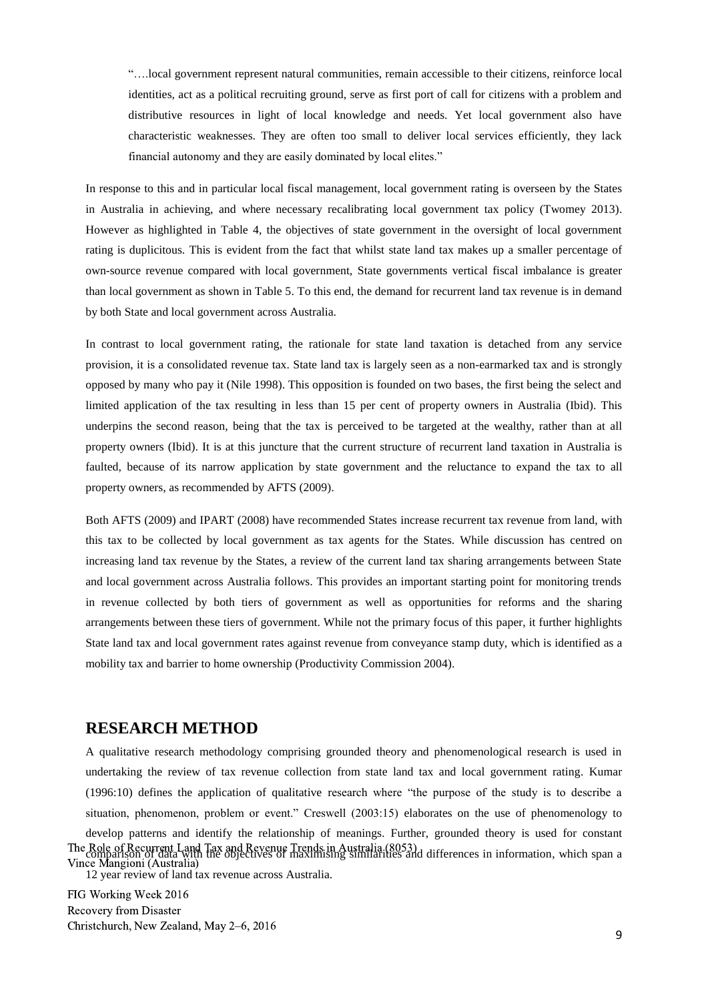"….local government represent natural communities, remain accessible to their citizens, reinforce local identities, act as a political recruiting ground, serve as first port of call for citizens with a problem and distributive resources in light of local knowledge and needs. Yet local government also have characteristic weaknesses. They are often too small to deliver local services efficiently, they lack financial autonomy and they are easily dominated by local elites."

In response to this and in particular local fiscal management, local government rating is overseen by the States in Australia in achieving, and where necessary recalibrating local government tax policy (Twomey 2013). However as highlighted in Table 4, the objectives of state government in the oversight of local government rating is duplicitous. This is evident from the fact that whilst state land tax makes up a smaller percentage of own-source revenue compared with local government, State governments vertical fiscal imbalance is greater than local government as shown in Table 5. To this end, the demand for recurrent land tax revenue is in demand by both State and local government across Australia.

In contrast to local government rating, the rationale for state land taxation is detached from any service provision, it is a consolidated revenue tax. State land tax is largely seen as a non-earmarked tax and is strongly opposed by many who pay it (Nile 1998). This opposition is founded on two bases, the first being the select and limited application of the tax resulting in less than 15 per cent of property owners in Australia (Ibid). This underpins the second reason, being that the tax is perceived to be targeted at the wealthy, rather than at all property owners (Ibid). It is at this juncture that the current structure of recurrent land taxation in Australia is faulted, because of its narrow application by state government and the reluctance to expand the tax to all property owners, as recommended by AFTS (2009).

Both AFTS (2009) and IPART (2008) have recommended States increase recurrent tax revenue from land, with this tax to be collected by local government as tax agents for the States. While discussion has centred on increasing land tax revenue by the States, a review of the current land tax sharing arrangements between State and local government across Australia follows. This provides an important starting point for monitoring trends in revenue collected by both tiers of government as well as opportunities for reforms and the sharing arrangements between these tiers of government. While not the primary focus of this paper, it further highlights State land tax and local government rates against revenue from conveyance stamp duty, which is identified as a mobility tax and barrier to home ownership (Productivity Commission 2004).

# **RESEARCH METHOD**

A qualitative research methodology comprising grounded theory and phenomenological research is used in undertaking the review of tax revenue collection from state land tax and local government rating. Kumar (1996:10) defines the application of qualitative research where "the purpose of the study is to describe a situation, phenomenon, problem or event." Creswell (2003:15) elaborates on the use of phenomenology to

12 year review of land tax revenue across Australia.

develop patterns and identify the relationship of meanings. Further, grounded theory is used for constant The Role of Recurrent Land Tax and Revenue Trends in Australia (8053)<br>The Role of Recurrent Land Tax and Revenue Trends in Australia (8053)<br>The and differences in information, which span a span all the span and the span an Vince Mangioni (Australia)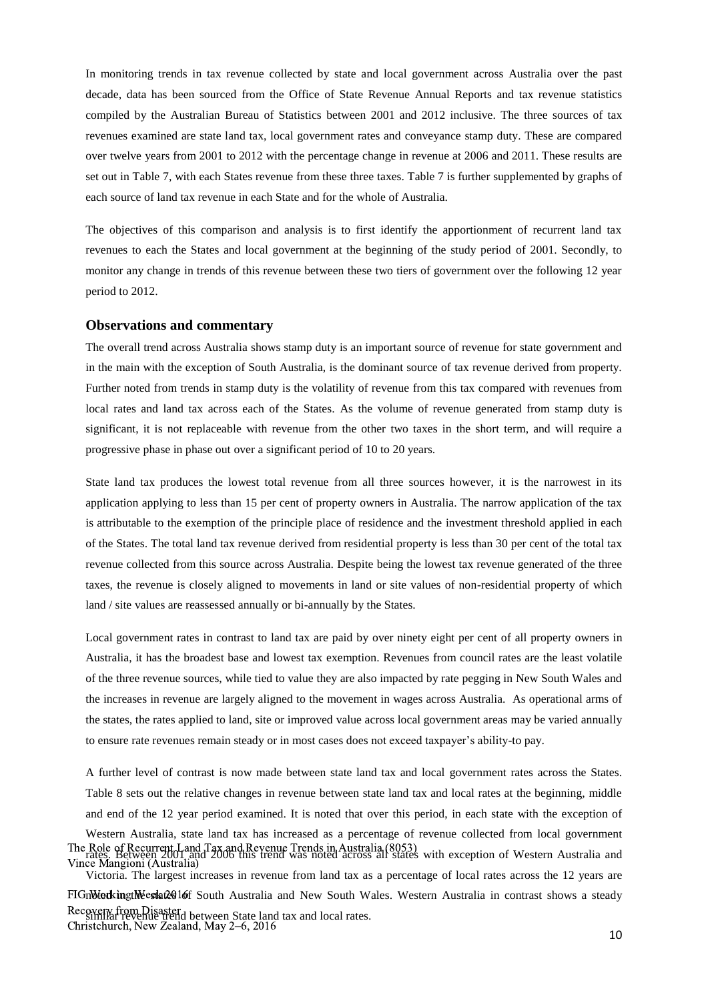In monitoring trends in tax revenue collected by state and local government across Australia over the past decade, data has been sourced from the Office of State Revenue Annual Reports and tax revenue statistics compiled by the Australian Bureau of Statistics between 2001 and 2012 inclusive. The three sources of tax revenues examined are state land tax, local government rates and conveyance stamp duty. These are compared over twelve years from 2001 to 2012 with the percentage change in revenue at 2006 and 2011. These results are set out in Table 7, with each States revenue from these three taxes. Table 7 is further supplemented by graphs of each source of land tax revenue in each State and for the whole of Australia.

The objectives of this comparison and analysis is to first identify the apportionment of recurrent land tax revenues to each the States and local government at the beginning of the study period of 2001. Secondly, to monitor any change in trends of this revenue between these two tiers of government over the following 12 year period to 2012.

#### **Observations and commentary**

The overall trend across Australia shows stamp duty is an important source of revenue for state government and in the main with the exception of South Australia, is the dominant source of tax revenue derived from property. Further noted from trends in stamp duty is the volatility of revenue from this tax compared with revenues from local rates and land tax across each of the States. As the volume of revenue generated from stamp duty is significant, it is not replaceable with revenue from the other two taxes in the short term, and will require a progressive phase in phase out over a significant period of 10 to 20 years.

State land tax produces the lowest total revenue from all three sources however, it is the narrowest in its application applying to less than 15 per cent of property owners in Australia. The narrow application of the tax is attributable to the exemption of the principle place of residence and the investment threshold applied in each of the States. The total land tax revenue derived from residential property is less than 30 per cent of the total tax revenue collected from this source across Australia. Despite being the lowest tax revenue generated of the three taxes, the revenue is closely aligned to movements in land or site values of non-residential property of which land / site values are reassessed annually or bi-annually by the States.

Local government rates in contrast to land tax are paid by over ninety eight per cent of all property owners in Australia, it has the broadest base and lowest tax exemption. Revenues from council rates are the least volatile of the three revenue sources, while tied to value they are also impacted by rate pegging in New South Wales and the increases in revenue are largely aligned to the movement in wages across Australia. As operational arms of the states, the rates applied to land, site or improved value across local government areas may be varied annually to ensure rate revenues remain steady or in most cases does not exceed taxpayer's ability-to pay.

A further level of contrast is now made between state land tax and local government rates across the States. Table 8 sets out the relative changes in revenue between state land tax and local rates at the beginning, middle and end of the 12 year period examined. It is noted that over this period, in each state with the exception of

Western Australia, state land tax has increased as a percentage of revenue collected from local government The Role of Recurrent Land Tax and Revenue Trends in Australia (8053)<br>The Role of Recurrent Land 2006 this trend was noted across all states with exception of Western Australia and Victoria. The largest increases in revenue from land tax as a percentage of local rates across the 12 years are Vince Mangioni (Australia)

FIGnWoodkingthVesdat2016 fSouth Australia and New South Wales. Western Australia in contrast shows a steady Recovery from Disaster<br>
Similar revenue trend between State land tax and local rates. Christchurch, New Zealand, May 2–6, 2016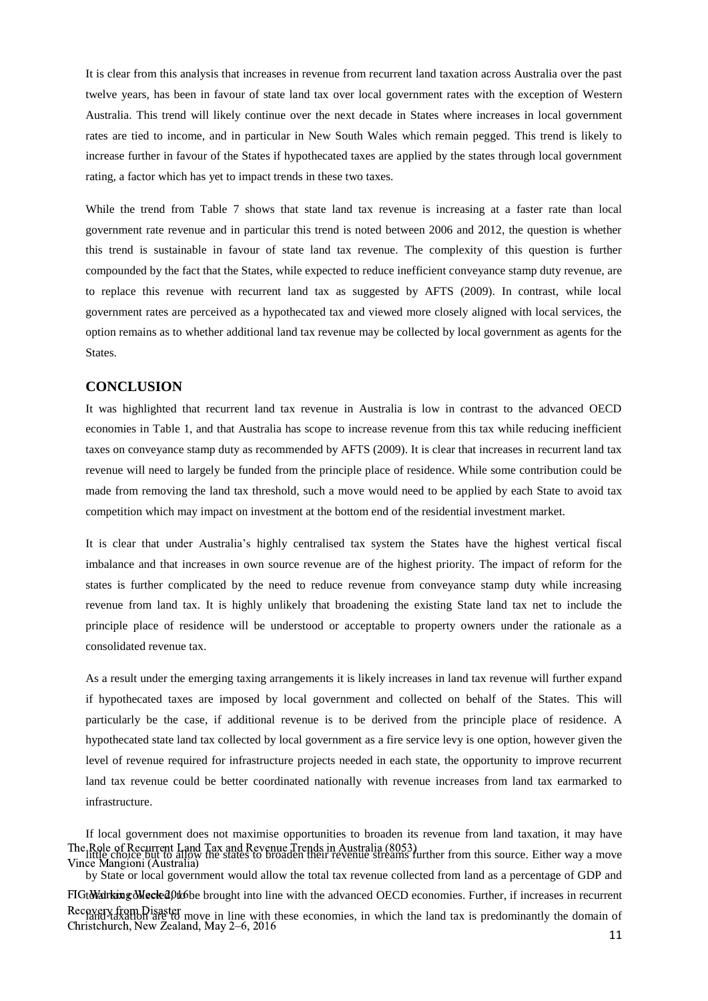It is clear from this analysis that increases in revenue from recurrent land taxation across Australia over the past twelve years, has been in favour of state land tax over local government rates with the exception of Western Australia. This trend will likely continue over the next decade in States where increases in local government rates are tied to income, and in particular in New South Wales which remain pegged. This trend is likely to increase further in favour of the States if hypothecated taxes are applied by the states through local government rating, a factor which has yet to impact trends in these two taxes.

While the trend from Table 7 shows that state land tax revenue is increasing at a faster rate than local government rate revenue and in particular this trend is noted between 2006 and 2012, the question is whether this trend is sustainable in favour of state land tax revenue. The complexity of this question is further compounded by the fact that the States, while expected to reduce inefficient conveyance stamp duty revenue, are to replace this revenue with recurrent land tax as suggested by AFTS (2009). In contrast, while local government rates are perceived as a hypothecated tax and viewed more closely aligned with local services, the option remains as to whether additional land tax revenue may be collected by local government as agents for the States.

# **CONCLUSION**

It was highlighted that recurrent land tax revenue in Australia is low in contrast to the advanced OECD economies in Table 1, and that Australia has scope to increase revenue from this tax while reducing inefficient taxes on conveyance stamp duty as recommended by AFTS (2009). It is clear that increases in recurrent land tax revenue will need to largely be funded from the principle place of residence. While some contribution could be made from removing the land tax threshold, such a move would need to be applied by each State to avoid tax competition which may impact on investment at the bottom end of the residential investment market.

It is clear that under Australia's highly centralised tax system the States have the highest vertical fiscal imbalance and that increases in own source revenue are of the highest priority. The impact of reform for the states is further complicated by the need to reduce revenue from conveyance stamp duty while increasing revenue from land tax. It is highly unlikely that broadening the existing State land tax net to include the principle place of residence will be understood or acceptable to property owners under the rationale as a consolidated revenue tax.

As a result under the emerging taxing arrangements it is likely increases in land tax revenue will further expand if hypothecated taxes are imposed by local government and collected on behalf of the States. This will particularly be the case, if additional revenue is to be derived from the principle place of residence. A hypothecated state land tax collected by local government as a fire service levy is one option, however given the level of revenue required for infrastructure projects needed in each state, the opportunity to improve recurrent land tax revenue could be better coordinated nationally with revenue increases from land tax earmarked to infrastructure.

If local government does not maximise opportunities to broaden its revenue from land taxation, it may have The Role of Recurrent Land Tax and Revenue Trends in Australia (8053)<br>The Role of Recurrent Land Tax and Revenue Trends in Australia (8053)<br>The From this source. Either way a move by State or local government would allow the total tax revenue collected from land as a percentage of GDP and FIGt Wat the results of the brought into line with the advanced OECD economies. Further, if increases in recurrent Vince Mangioni (Australia)

Recovery from Disaster<br>and taxation are to move in line with these economies, in which the land tax is predominantly the domain of Christchurch, New Zealand, May 2–6, 2016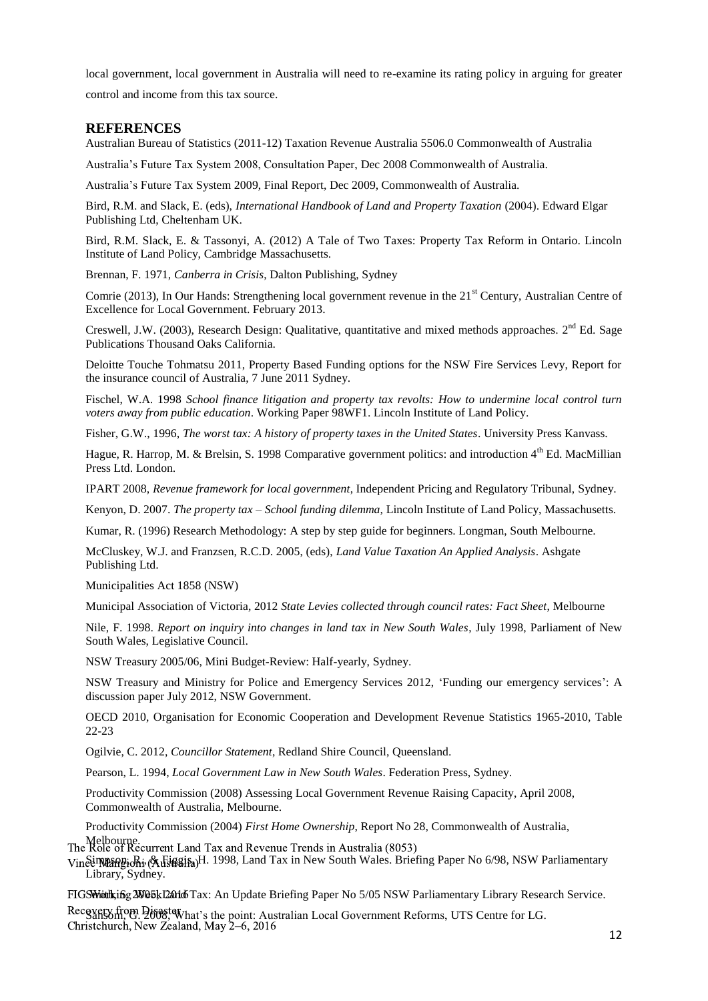local government, local government in Australia will need to re-examine its rating policy in arguing for greater control and income from this tax source.

#### **REFERENCES**

Australian Bureau of Statistics (2011-12) Taxation Revenue Australia 5506.0 Commonwealth of Australia

Australia's Future Tax System 2008, Consultation Paper, Dec 2008 Commonwealth of Australia.

Australia's Future Tax System 2009, Final Report, Dec 2009, Commonwealth of Australia.

Bird, R.M. and Slack, E. (eds), *International Handbook of Land and Property Taxation* (2004). Edward Elgar Publishing Ltd, Cheltenham UK.

Bird, R.M. Slack, E. & Tassonyi, A. (2012) A Tale of Two Taxes: Property Tax Reform in Ontario. Lincoln Institute of Land Policy, Cambridge Massachusetts.

Brennan, F. 1971, *Canberra in Crisis*, Dalton Publishing, Sydney

Comrie (2013), In Our Hands: Strengthening local government revenue in the 21<sup>st</sup> Century, Australian Centre of Excellence for Local Government. February 2013.

Creswell, J.W. (2003), Research Design: Qualitative, quantitative and mixed methods approaches.  $2^{nd}$  Ed. Sage Publications Thousand Oaks California.

Deloitte Touche Tohmatsu 2011, Property Based Funding options for the NSW Fire Services Levy, Report for the insurance council of Australia, 7 June 2011 Sydney.

Fischel, W.A. 1998 *School finance litigation and property tax revolts: How to undermine local control turn voters away from public education*. Working Paper 98WF1. Lincoln Institute of Land Policy.

Fisher, G.W., 1996, *The worst tax: A history of property taxes in the United States*. University Press Kanvass.

Hague, R. Harrop, M. & Brelsin, S. 1998 Comparative government politics: and introduction 4<sup>th</sup> Ed. MacMillian Press Ltd. London.

IPART 2008, *Revenue framework for local government*, Independent Pricing and Regulatory Tribunal, Sydney.

Kenyon, D. 2007. *The property tax – School funding dilemma,* Lincoln Institute of Land Policy, Massachusetts.

Kumar, R. (1996) Research Methodology: A step by step guide for beginners. Longman, South Melbourne.

McCluskey, W.J. and Franzsen, R.C.D. 2005, (eds), *Land Value Taxation An Applied Analysis*. Ashgate Publishing Ltd.

Municipalities Act 1858 (NSW)

Municipal Association of Victoria, 2012 *State Levies collected through council rates: Fact Sheet*, Melbourne

Nile, F. 1998. *Report on inquiry into changes in land tax in New South Wales*, July 1998, Parliament of New South Wales, Legislative Council.

NSW Treasury 2005/06, Mini Budget-Review: Half-yearly, Sydney.

NSW Treasury and Ministry for Police and Emergency Services 2012, 'Funding our emergency services': A discussion paper July 2012, NSW Government.

OECD 2010, Organisation for Economic Cooperation and Development Revenue Statistics 1965-2010, Table 22-23

Ogilvie, C. 2012, *Councillor Statement*, Redland Shire Council, Queensland.

Pearson, L. 1994, *Local Government Law in New South Wales*. Federation Press, Sydney.

Productivity Commission (2008) Assessing Local Government Revenue Raising Capacity, April 2008, Commonwealth of Australia, Melbourne.

Productivity Commission (2004) *First Home Ownership*, Report No 28, Commonwealth of Australia,

Melbourne. The Role of Recurrent Land Tax and Revenue Trends in Australia (8053)

Vince Mangioni (Australia) H. 1998, Land Tax in New South Wales. Briefing Paper No 6/98, NSW Parliamentary Library, Sydney.

FIGSWidtkiSg2We5kl20hk6Tax: An Update Briefing Paper No 5/05 NSW Parliamentary Library Research Service.

Recovery from Disaster hat's the point: Australian Local Government Reforms, UTS Centre for LG. Christchurch, New Zealand, May 2–6, 2016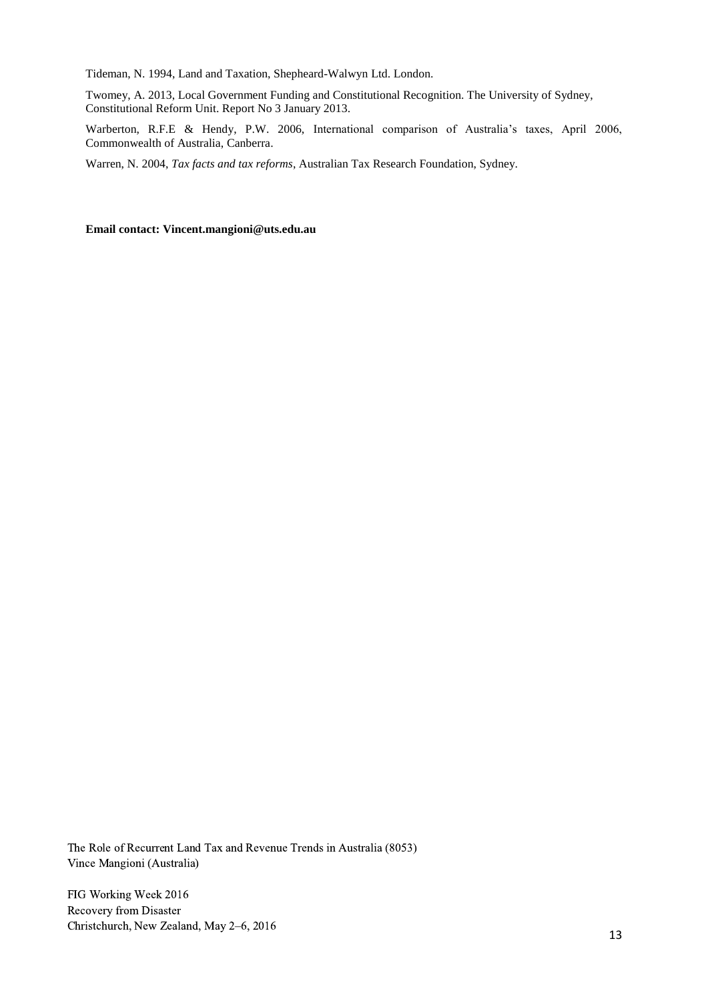Tideman, N. 1994, Land and Taxation, Shepheard-Walwyn Ltd. London.

Twomey, A. 2013, Local Government Funding and Constitutional Recognition. The University of Sydney, Constitutional Reform Unit. Report No 3 January 2013.

Warberton, R.F.E & Hendy, P.W. 2006, International comparison of Australia's taxes, April 2006, Commonwealth of Australia, Canberra.

Warren, N. 2004, *Tax facts and tax reforms*, Australian Tax Research Foundation, Sydney.

**Email contact: Vincent.mangioni@uts.edu.au**

The Role of Recurrent Land Tax and Revenue Trends in Australia (8053) Vince Mangioni (Australia)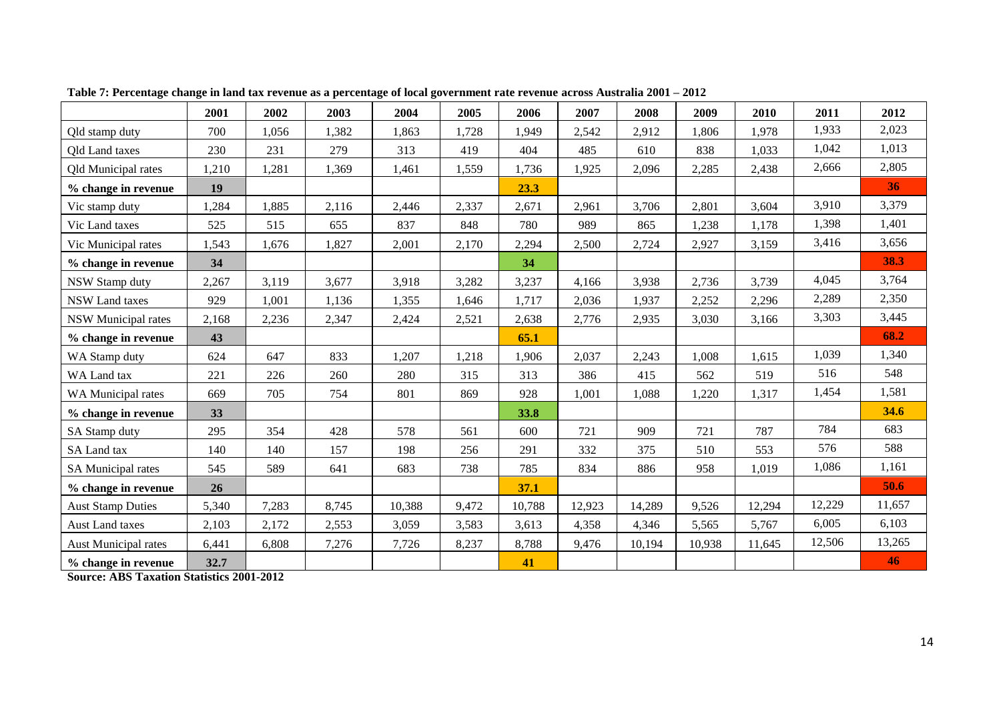|                             | 2001  | 2002  | 2003  | 2004   | 2005  | 2006   | 2007   | 2008   | 2009   | 2010   | 2011   | 2012            |
|-----------------------------|-------|-------|-------|--------|-------|--------|--------|--------|--------|--------|--------|-----------------|
| Qld stamp duty              | 700   | 1,056 | 1,382 | 1,863  | 1,728 | 1,949  | 2,542  | 2,912  | 1,806  | 1,978  | 1,933  | 2,023           |
| <b>Qld Land taxes</b>       | 230   | 231   | 279   | 313    | 419   | 404    | 485    | 610    | 838    | 1,033  | 1,042  | 1,013           |
| <b>Qld Municipal rates</b>  | 1,210 | 1,281 | 1,369 | 1,461  | 1,559 | 1,736  | 1,925  | 2,096  | 2,285  | 2,438  | 2,666  | 2,805           |
| % change in revenue         | 19    |       |       |        |       | 23.3   |        |        |        |        |        | 36 <sup>°</sup> |
| Vic stamp duty              | 1,284 | 1,885 | 2,116 | 2,446  | 2,337 | 2,671  | 2,961  | 3,706  | 2,801  | 3,604  | 3,910  | 3,379           |
| Vic Land taxes              | 525   | 515   | 655   | 837    | 848   | 780    | 989    | 865    | 1,238  | 1,178  | 1,398  | 1,401           |
| Vic Municipal rates         | 1,543 | 1,676 | 1,827 | 2,001  | 2,170 | 2,294  | 2,500  | 2,724  | 2,927  | 3,159  | 3,416  | 3,656           |
| % change in revenue         | 34    |       |       |        |       | 34     |        |        |        |        |        | 38.3            |
| NSW Stamp duty              | 2,267 | 3,119 | 3,677 | 3,918  | 3,282 | 3,237  | 4,166  | 3,938  | 2,736  | 3,739  | 4,045  | 3,764           |
| <b>NSW Land taxes</b>       | 929   | 1,001 | 1,136 | 1,355  | 1,646 | 1,717  | 2,036  | 1,937  | 2,252  | 2,296  | 2,289  | 2,350           |
| <b>NSW Municipal rates</b>  | 2,168 | 2,236 | 2,347 | 2,424  | 2,521 | 2,638  | 2,776  | 2,935  | 3,030  | 3,166  | 3,303  | 3,445           |
| % change in revenue         | 43    |       |       |        |       | 65.1   |        |        |        |        |        | 68.2            |
| WA Stamp duty               | 624   | 647   | 833   | 1,207  | 1,218 | 1,906  | 2,037  | 2,243  | 1,008  | 1,615  | 1,039  | 1,340           |
| WA Land tax                 | 221   | 226   | 260   | 280    | 315   | 313    | 386    | 415    | 562    | 519    | 516    | 548             |
| WA Municipal rates          | 669   | 705   | 754   | 801    | 869   | 928    | 1,001  | 1,088  | 1,220  | 1,317  | 1,454  | 1,581           |
| % change in revenue         | 33    |       |       |        |       | 33.8   |        |        |        |        |        | 34.6            |
| SA Stamp duty               | 295   | 354   | 428   | 578    | 561   | 600    | 721    | 909    | 721    | 787    | 784    | 683             |
| SA Land tax                 | 140   | 140   | 157   | 198    | 256   | 291    | 332    | 375    | 510    | 553    | 576    | 588             |
| SA Municipal rates          | 545   | 589   | 641   | 683    | 738   | 785    | 834    | 886    | 958    | 1,019  | 1,086  | 1,161           |
| % change in revenue         | 26    |       |       |        |       | 37.1   |        |        |        |        |        | 50.6            |
| <b>Aust Stamp Duties</b>    | 5,340 | 7,283 | 8,745 | 10,388 | 9,472 | 10,788 | 12,923 | 14,289 | 9,526  | 12,294 | 12,229 | 11,657          |
| <b>Aust Land taxes</b>      | 2,103 | 2,172 | 2,553 | 3,059  | 3,583 | 3,613  | 4,358  | 4,346  | 5,565  | 5,767  | 6,005  | 6,103           |
| <b>Aust Municipal rates</b> | 6,441 | 6,808 | 7,276 | 7,726  | 8,237 | 8,788  | 9,476  | 10,194 | 10,938 | 11,645 | 12,506 | 13,265          |
| % change in revenue         | 32.7  |       |       |        |       | 41     |        |        |        |        |        | 46              |

**Table 7: Percentage change in land tax revenue as a percentage of local government rate revenue across Australia 2001 – 2012**

**Source: ABS Taxation Statistics 2001-2012**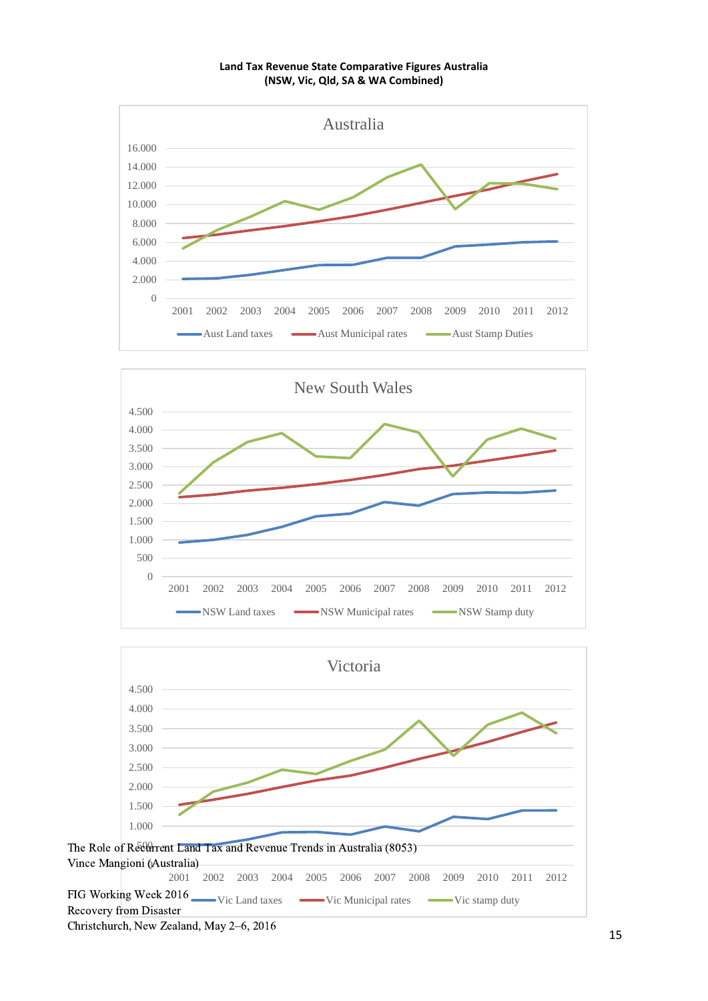







Christchurch, New Zealand, May 2–6, 2016